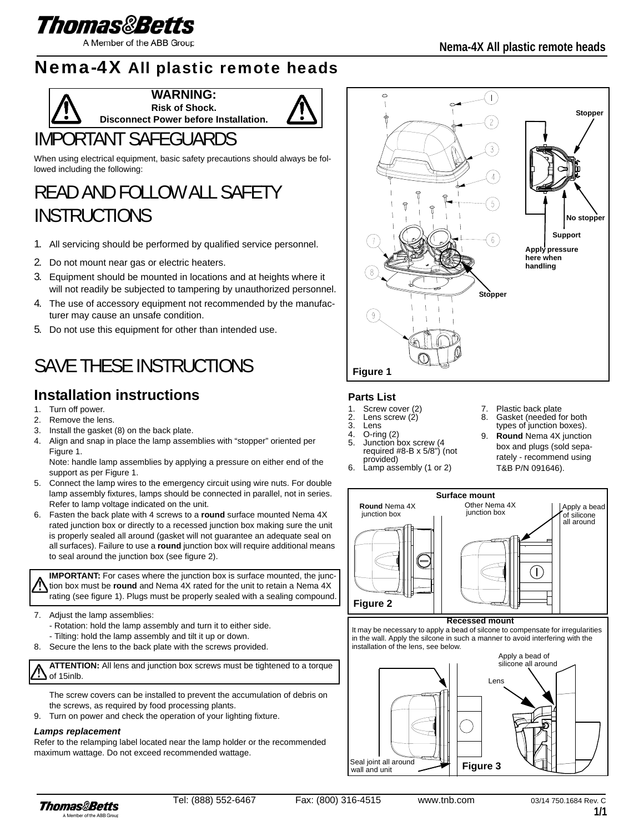

A Member of the ABB Group

## Nema-4X All plastic remote heads



**WARNING: Risk of Shock.** 



## IMPORTANT SAFEGUARDS

When using electrical equipment, basic safety precautions should always be followed including the following:

# READ AND FOLLOW ALL SAFETY **INSTRUCTIONS**

- 1. All servicing should be performed by qualified service personnel.
- 2. Do not mount near gas or electric heaters.
- 3. Equipment should be mounted in locations and at heights where it will not readily be subjected to tampering by unauthorized personnel.
- 4. The use of accessory equipment not recommended by the manufacturer may cause an unsafe condition.
- 5. Do not use this equipment for other than intended use.

## SAVE THESE INSTRUCTIONS

### **Installation instructions**

- 1. Turn off power.
- 2. Remove the lens.
- 3. Install the gasket (8) on the back plate.
- 4. Align and snap in place the lamp assemblies with "stopper" oriented per Figure 1.

Note: handle lamp assemblies by applying a pressure on either end of the support as per Figure 1.

- 5. Connect the lamp wires to the emergency circuit using wire nuts. For double lamp assembly fixtures, lamps should be connected in parallel, not in series. Refer to lamp voltage indicated on the unit.
- 6. Fasten the back plate with 4 screws to a **round** surface mounted Nema 4X rated junction box or directly to a recessed junction box making sure the unit is properly sealed all around (gasket will not guarantee an adequate seal on all surfaces). Failure to use a **round** junction box will require additional means to seal around the junction box (see figure 2).

**IMPORTANT:** For cases where the junction box is surface mounted, the junction box must be **round** and Nema 4X rated for the unit to retain a Nema 4X rating (see figure 1). Plugs must be properly sealed with a sealing compound.

- 7. Adjust the lamp assemblies:
	- Rotation: hold the lamp assembly and turn it to either side.
	- Tilting: hold the lamp assembly and tilt it up or down.
- 8. Secure the lens to the back plate with the screws provided.

L **ATTENTION:** All lens and junction box screws must be tightened to a torque of 15inlb.

The screw covers can be installed to prevent the accumulation of debris on the screws, as required by food processing plants.

9. Turn on power and check the operation of your lighting fixture.

#### *Lamps replacement*

Refer to the relamping label located near the lamp holder or the recommended maximum wattage. Do not exceed recommended wattage.



### **Parts List**

- Screw cover (2)
- 2. Lens screw  $(2)$ <br>3. Lens
- **Lens**
- 4. O-ring (2) 5. Junction box screw (4 required #8-B x 5/8") (not
- provided) 6. Lamp assembly (1 or 2)
- Plastic back plate
- Gasket (needed for both types of junction boxes).
- 9. **Round** Nema 4X junction box and plugs (sold separately - recommend using T&B P/N 091646).



#### **Recessed mount**

It may be necessary to apply a bead of silcone to compensate for irregularities in the wall. Apply the silcone in such a manner to avoid interfering with the installation of the lens, see below.